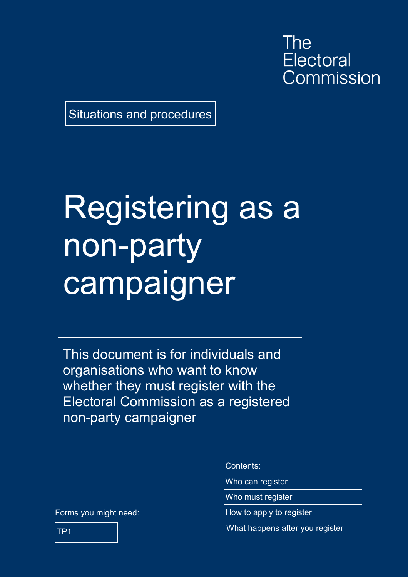The **Electoral** Commission

Situations and procedures

# Registering as a non-party campaigner

This document is for individuals and organisations who want to know whether they must register with the Electoral Commission as a registered non-party campaigner

Forms you might need:

Contents:

Who can register

Who must register

How to apply to register

What happens after you register

TP1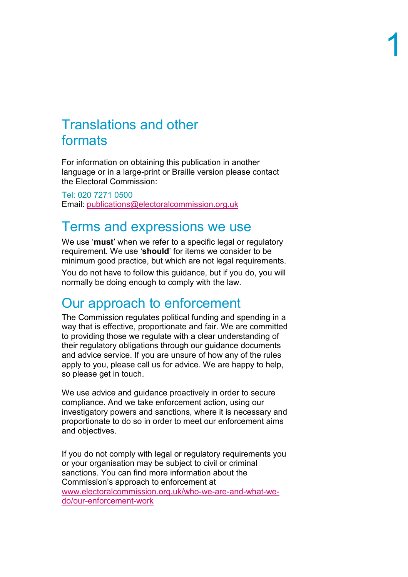#### Translations and other formats

For information on obtaining this publication in another language or in a large-print or Braille version please contact the Electoral Commission:

Tel: 020 7271 0500 Email: [publications@electoralcommission.org.uk](mailto:publications@electoralcommission.org.uk)

#### Terms and expressions we use

We use '**must**' when we refer to a specific legal or regulatory requirement. We use '**should**' for items we consider to be minimum good practice, but which are not legal requirements.

You do not have to follow this guidance, but if you do, you will normally be doing enough to comply with the law.

#### Our approach to enforcement

The Commission regulates political funding and spending in a way that is effective, proportionate and fair. We are committed to providing those we regulate with a clear understanding of their regulatory obligations through our guidance documents and advice service. If you are unsure of how any of the rules apply to you, please call us for advice. We are happy to help, so please get in touch.

We use advice and guidance proactively in order to secure compliance. And we take enforcement action, using our investigatory powers and sanctions, where it is necessary and proportionate to do so in order to meet our enforcement aims and objectives.

If you do not comply with legal or regulatory requirements you or your organisation may be subject to civil or criminal sanctions. You can find more information about the Commission's approach to enforcement at [www.electoralcommission.org.uk/who-we-are-and-what-we](https://www.electoralcommission.org.uk/who-we-are-and-what-we-do/our-enforcement-work)[do/our-enforcement-work](https://www.electoralcommission.org.uk/who-we-are-and-what-we-do/our-enforcement-work)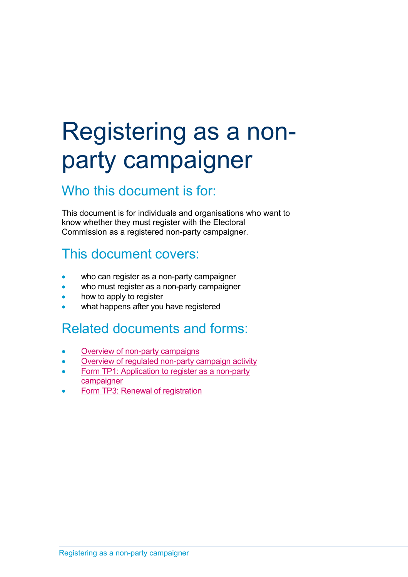### Registering as a nonparty campaigner

#### Who this document is for:

This document is for individuals and organisations who want to know whether they must register with the Electoral Commission as a registered non-party campaigner.

### This document covers:

- who can register as a non-party campaigner
- who must register as a non-party campaigner
- how to apply to register
- what happens after you have registered

#### Related documents and forms:

- [Overview of non-party campaigns](https://www.electoralcommission.org.uk/media/4147)
- [Overview of regulated non-party](https://www.electoralcommission.org.uk/media/4090) campaign activity
- Form TP1: Application to register as a non-party [campaigner](https://www.electoralcommission.org.uk/media/4177)
- [Form TP3: Renewal of registration](https://www.electoralcommission.org.uk/media/646)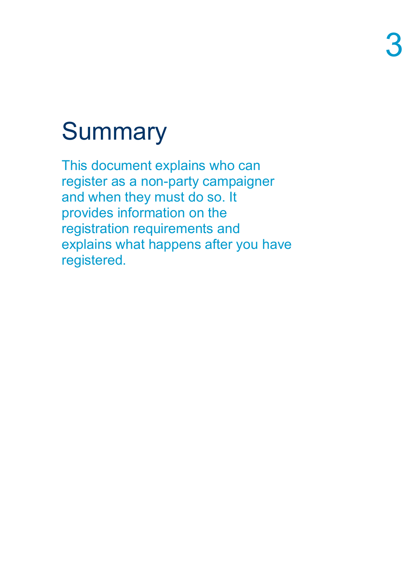## **Summary**

This document explains who can register as a non-party campaigner and when they must do so. It provides information on the registration requirements and explains what happens after you have registered.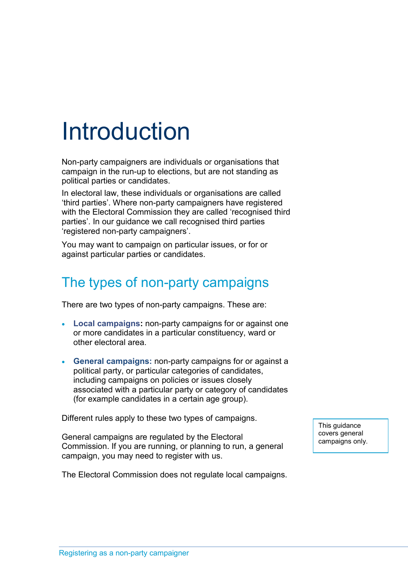### Introduction

Non-party campaigners are individuals or organisations that campaign in the run-up to elections, but are not standing as political parties or candidates.

In electoral law, these individuals or organisations are called 'third parties'. Where non-party campaigners have registered with the Electoral Commission they are called 'recognised third parties'. In our guidance we call recognised third parties 'registered non-party campaigners'.

You may want to campaign on particular issues, or for or against particular parties or candidates.

### The types of non-party campaigns

There are two types of non-party campaigns. These are:

- **Local campaigns:** non-party campaigns for or against one or more candidates in a particular constituency, ward or other electoral area.
- **General campaigns:** non-party campaigns for or against a political party, or particular categories of candidates, including campaigns on policies or issues closely associated with a particular party or category of candidates (for example candidates in a certain age group).

Different rules apply to these two types of campaigns.

General campaigns are regulated by the Electoral Commission. If you are running, or planning to run, a general campaign, you may need to register with us.

The Electoral Commission does not regulate local campaigns.

This guidance covers general campaigns only.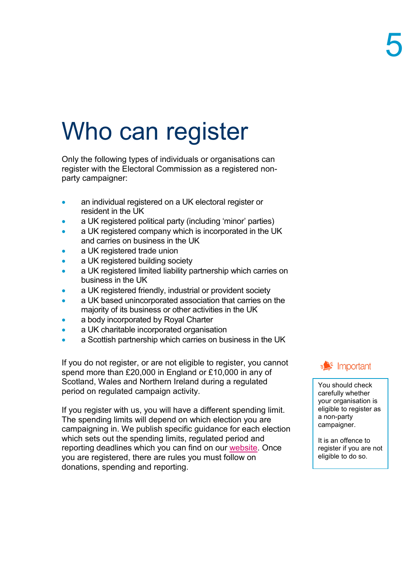### Who can register

Only the following types of individuals or organisations can register with the Electoral Commission as a registered nonparty campaigner:

- an individual registered on a UK electoral register or resident in the UK
- a UK registered political party (including 'minor' parties)
- a UK registered company which is incorporated in the UK and carries on business in the UK
- a UK registered trade union
- a UK registered building society
- a UK registered limited liability partnership which carries on business in the UK
- a UK registered friendly, industrial or provident society
- a UK based unincorporated association that carries on the majority of its business or other activities in the UK
- a body incorporated by Royal Charter
- a UK charitable incorporated organisation
- a Scottish partnership which carries on business in the UK

If you do not register, or are not eligible to register, you cannot spend more than £20,000 in England or £10,000 in any of Scotland, Wales and Northern Ireland during a regulated period on regulated campaign activity.

If you register with us, you will have a different spending limit. The spending limits will depend on which election you are campaigning in. We publish specific guidance for each election which sets out the spending limits, regulated period and reporting deadlines which you can find on our [website.](http://www.electoralcommission.org.uk/i-am-a/party-or-campaigner/non-party-campaigners) Once you are registered, there are rules you must follow on donations, spending and reporting.



You should check carefully whether your organisation is eligible to register as a non-party campaigner.

It is an offence to register if you are not eligible to do so.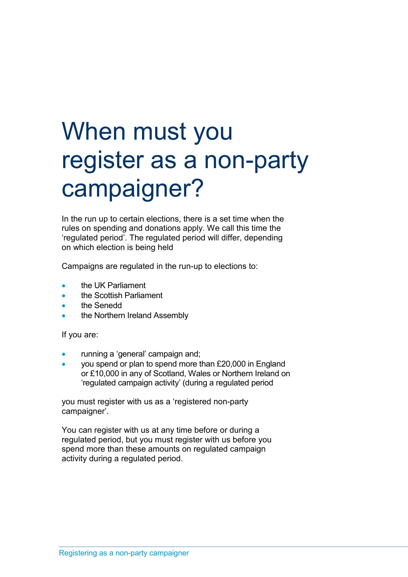### When must you register as a non-party campaigner?

In the run up to certain elections, there is a set time when the rules on spending and donations apply. We call this time the 'regulated period'. The regulated period will differ, depending on which election is being held

Campaigns are regulated in the run-up to elections to:

- the UK Parliament
- the Scottish Parliament
- the Senedd
- the Northern Ireland Assembly

If you are:

- running a 'general' campaign and;
- you spend or plan to spend more than £20,000 in England or £10,000 in any of Scotland, Wales or Northern Ireland on 'regulated campaign activity' (during a regulated period

you must register with us as a 'registered non-party campaigner'.

You can register with us at any time before or during a regulated period, but you must register with us before you spend more than these amounts on regulated campaign activity during a regulated period.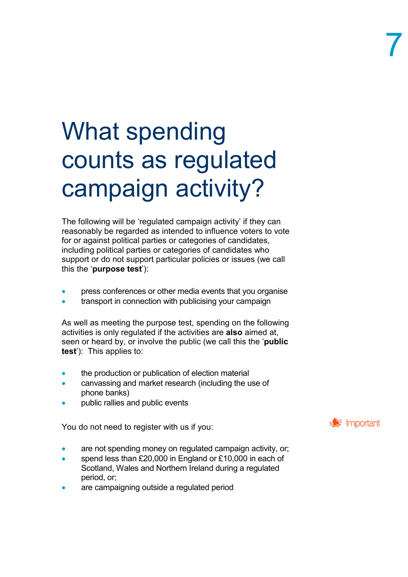### What spending counts as regulated campaign activity?

The following will be 'regulated campaign activity' if they can reasonably be regarded as intended to influence voters to vote for or against political parties or categories of candidates, including political parties or categories of candidates who support or do not support particular policies or issues (we call this the '**purpose test**'):

- press conferences or other media events that you organise
- transport in connection with publicising your campaign

As well as meeting the purpose test, spending on the following activities is only regulated if the activities are **also** aimed at, seen or heard by, or involve the public (we call this the '**public test**'): This applies to:

- the production or publication of election material
- canvassing and market research (including the use of phone banks)
- public rallies and public events

You do not need to register with us if you:

- are not spending money on regulated campaign activity, or;
- spend less than £20,000 in England or £10,000 in each of Scotland, Wales and Northern Ireland during a regulated period, or;
- are campaigning outside a regulated period

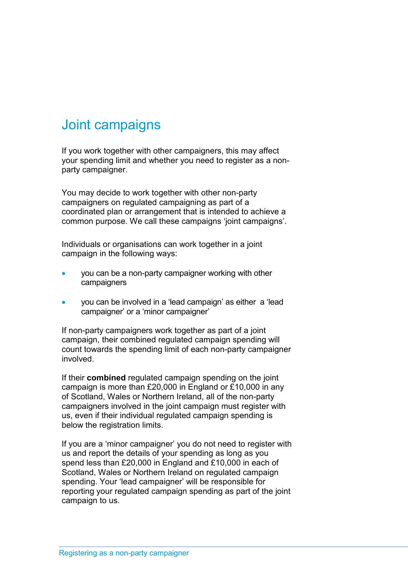### Joint campaigns

If you work together with other campaigners, this may affect your spending limit and whether you need to register as a nonparty campaigner.

You may decide to work together with other non-party campaigners on regulated campaigning as part of a coordinated plan or arrangement that is intended to achieve a common purpose. We call these campaigns 'joint campaigns'.

Individuals or organisations can work together in a joint campaign in the following ways:

- you can be a non-party campaigner working with other campaigners
- you can be involved in a 'lead campaign' as either a 'lead campaigner' or a 'minor campaigner'

If non-party campaigners work together as part of a joint campaign, their combined regulated campaign spending will count towards the spending limit of each non-party campaigner involved.

If their **combined** regulated campaign spending on the joint campaign is more than £20,000 in England or £10,000 in any of Scotland, Wales or Northern Ireland, all of the non-party campaigners involved in the joint campaign must register with us, even if their individual regulated campaign spending is below the registration limits.

If you are a 'minor campaigner' you do not need to register with us and report the details of your spending as long as you spend less than £20,000 in England and £10,000 in each of Scotland, Wales or Northern Ireland on regulated campaign spending. Your 'lead campaigner' will be responsible for reporting your regulated campaign spending as part of the joint campaign to us.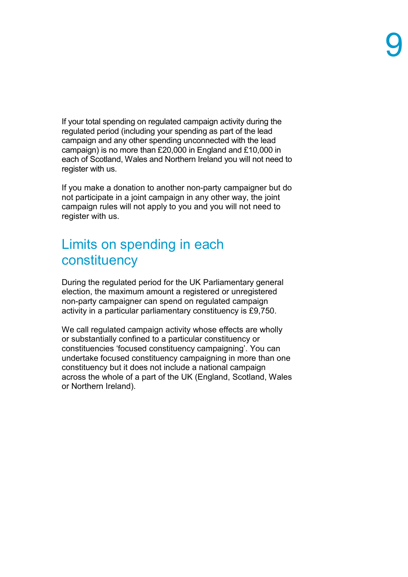If your total spending on regulated campaign activity during the regulated period (including your spending as part of the lead campaign and any other spending unconnected with the lead campaign) is no more than £20,000 in England and £10,000 in each of Scotland, Wales and Northern Ireland you will not need to register with us.

If you make a donation to another non-party campaigner but do not participate in a joint campaign in any other way, the joint campaign rules will not apply to you and you will not need to register with us.

#### Limits on spending in each constituency

During the regulated period for the UK Parliamentary general election, the maximum amount a registered or unregistered non-party campaigner can spend on regulated campaign activity in a particular parliamentary constituency is £9,750.

We call regulated campaign activity whose effects are wholly or substantially confined to a particular constituency or constituencies 'focused constituency campaigning'. You can undertake focused constituency campaigning in more than one constituency but it does not include a national campaign across the whole of a part of the UK (England, Scotland, Wales or Northern Ireland).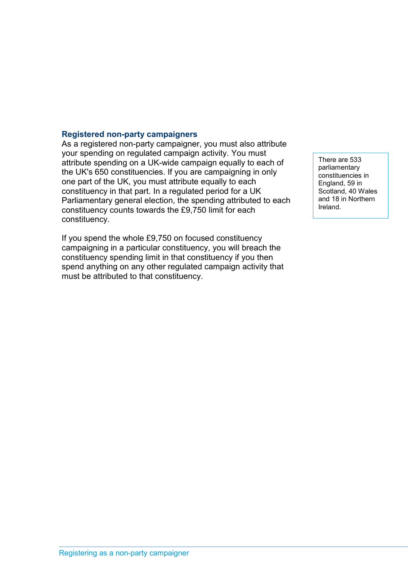#### **Registered non-party campaigners**

As a registered non-party campaigner, you must also attribute your spending on regulated campaign activity. You must attribute spending on a UK-wide campaign equally to each of the UK's 650 constituencies. If you are campaigning in only one part of the UK, you must attribute equally to each constituency in that part. In a regulated period for a UK Parliamentary general election, the spending attributed to each constituency counts towards the £9,750 limit for each constituency.

If you spend the whole £9,750 on focused constituency campaigning in a particular constituency, you will breach the constituency spending limit in that constituency if you then spend anything on any other regulated campaign activity that must be attributed to that constituency.

There are 533 parliamentary constituencies in England, 59 in Scotland, 40 Wales and 18 in Northern Ireland.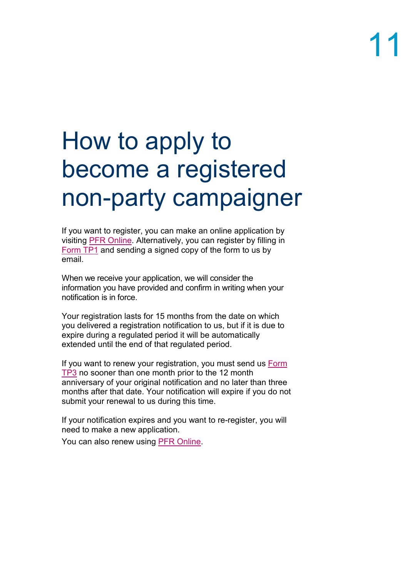### How to apply to become a registered non-party campaigner

If you want to register, you can make an online application by visiting PFR [Online.](https://pefonline.electoralcommission.org.uk/Default.aspx) Alternatively, you can register by filling in [Form TP1](https://www.electoralcommission.org.uk/media/4177) and sending a signed copy of the form to us by email.

When we receive your application, we will consider the information you have provided and confirm in writing when your notification is in force.

Your registration lasts for 15 months from the date on which you delivered a registration notification to us, but if it is due to expire during a regulated period it will be automatically extended until the end of that regulated period.

If you want to renew your registration, you must send us **Form** [TP3](https://www.electoralcommission.org.uk/media/646) no sooner than one month prior to the 12 month anniversary of your original notification and no later than three months after that date. Your notification will expire if you do not submit your renewal to us during this time.

If your notification expires and you want to re-register, you will need to make a new application.

You can also renew using PFR [Online.](https://pefonline.electoralcommission.org.uk/Default.aspx)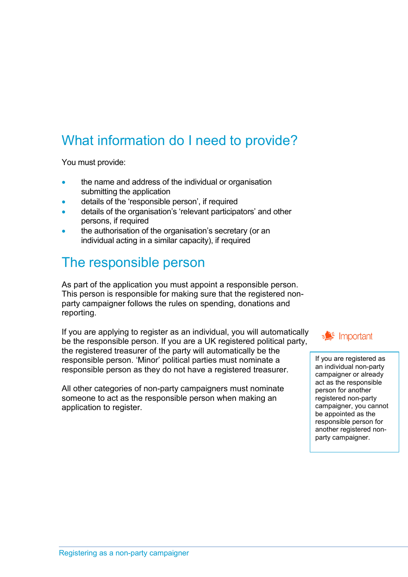### What information do I need to provide?

You must provide:

- the name and address of the individual or organisation submitting the application
- details of the 'responsible person', if required
- details of the organisation's 'relevant participators' and other persons, if required
- the authorisation of the organisation's secretary (or an individual acting in a similar capacity), if required

### The responsible person

As part of the application you must appoint a responsible person. This person is responsible for making sure that the registered nonparty campaigner follows the rules on spending, donations and reporting.

If you are applying to register as an individual, you will automatically be the responsible person. If you are a UK registered political party, the registered treasurer of the party will automatically be the responsible person. 'Minor' political parties must nominate a responsible person as they do not have a registered treasurer.

All other categories of non-party campaigners must nominate someone to act as the responsible person when making an application to register.

 $\equiv$  Important

If you are registered as an individual non-party campaigner or already act as the responsible person for another registered non-party campaigner, you cannot be appointed as the responsible person for another registered nonparty campaigner.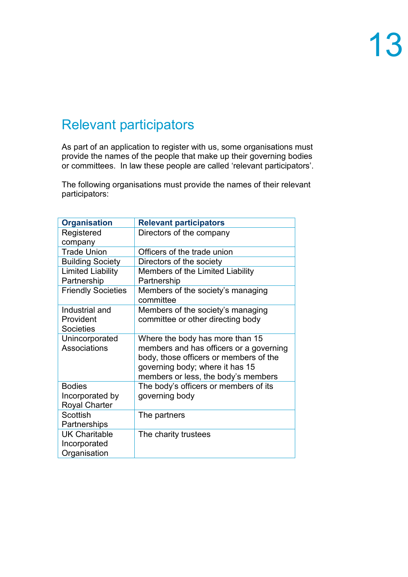### Relevant participators

As part of an application to register with us, some organisations must provide the names of the people that make up their governing bodies or committees. In law these people are called 'relevant participators'.

The following organisations must provide the names of their relevant participators:

| <b>Organisation</b>                                      | <b>Relevant participators</b>                                                                                                                                                                  |
|----------------------------------------------------------|------------------------------------------------------------------------------------------------------------------------------------------------------------------------------------------------|
| Registered                                               | Directors of the company                                                                                                                                                                       |
| company                                                  |                                                                                                                                                                                                |
| <b>Trade Union</b>                                       | Officers of the trade union                                                                                                                                                                    |
| <b>Building Society</b>                                  | Directors of the society                                                                                                                                                                       |
| <b>Limited Liability</b><br>Partnership                  | Members of the Limited Liability<br>Partnership                                                                                                                                                |
| <b>Friendly Societies</b>                                | Members of the society's managing<br>committee                                                                                                                                                 |
| Industrial and<br>Provident<br><b>Societies</b>          | Members of the society's managing<br>committee or other directing body                                                                                                                         |
| Unincorporated<br>Associations                           | Where the body has more than 15<br>members and has officers or a governing<br>body, those officers or members of the<br>governing body; where it has 15<br>members or less, the body's members |
| <b>Bodies</b><br>Incorporated by<br><b>Royal Charter</b> | The body's officers or members of its<br>governing body                                                                                                                                        |
| <b>Scottish</b><br>Partnerships                          | The partners                                                                                                                                                                                   |
| <b>UK Charitable</b><br>Incorporated<br>Organisation     | The charity trustees                                                                                                                                                                           |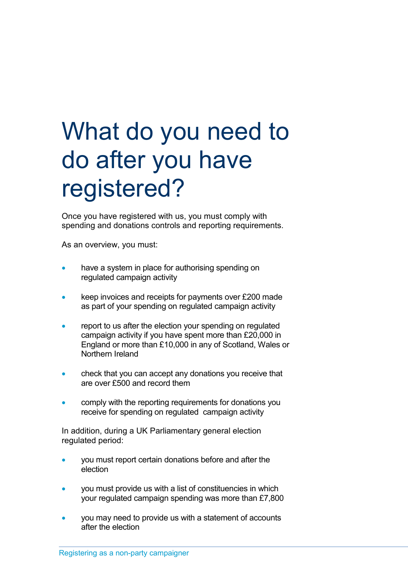### What do you need to do after you have registered?

Once you have registered with us, you must comply with spending and donations controls and reporting requirements.

As an overview, you must:

- have a system in place for authorising spending on regulated campaign activity
- keep invoices and receipts for payments over £200 made as part of your spending on regulated campaign activity
- report to us after the election your spending on regulated campaign activity if you have spent more than £20,000 in England or more than £10,000 in any of Scotland, Wales or Northern Ireland
- check that you can accept any donations you receive that are over £500 and record them
- comply with the reporting requirements for donations you receive for spending on regulated campaign activity

In addition, during a UK Parliamentary general election regulated period:

- you must report certain donations before and after the election
- you must provide us with a list of constituencies in which your regulated campaign spending was more than £7,800
- you may need to provide us with a statement of accounts after the election